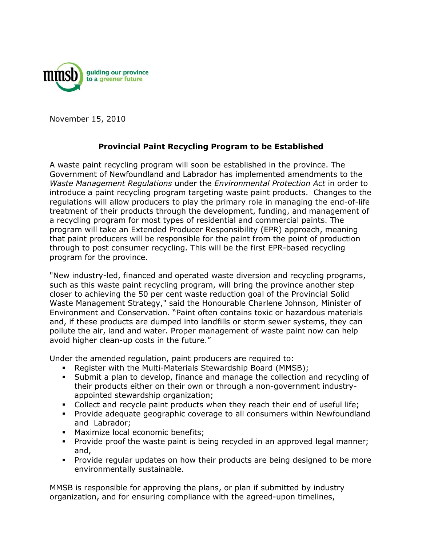

November 15, 2010

## **Provincial Paint Recycling Program to be Established**

A waste paint recycling program will soon be established in the province. The Government of Newfoundland and Labrador has implemented amendments to the *Waste Management Regulations* under the *Environmental Protection Act* in order to introduce a paint recycling program targeting waste paint products. Changes to the regulations will allow producers to play the primary role in managing the end-of-life treatment of their products through the development, funding, and management of a recycling program for most types of residential and commercial paints. The program will take an Extended Producer Responsibility (EPR) approach, meaning that paint producers will be responsible for the paint from the point of production through to post consumer recycling. This will be the first EPR-based recycling program for the province.

"New industry-led, financed and operated waste diversion and recycling programs, such as this waste paint recycling program, will bring the province another step closer to achieving the 50 per cent waste reduction goal of the Provincial Solid Waste Management Strategy," said the Honourable Charlene Johnson, Minister of Environment and Conservation. "Paint often contains toxic or hazardous materials and, if these products are dumped into landfills or storm sewer systems, they can pollute the air, land and water. Proper management of waste paint now can help avoid higher clean-up costs in the future."

Under the amended regulation, paint producers are required to:

- Register with the Multi-Materials Stewardship Board (MMSB);
- Submit a plan to develop, finance and manage the collection and recycling of their products either on their own or through a non-government industryappointed stewardship organization;
- Collect and recycle paint products when they reach their end of useful life;
- Provide adequate geographic coverage to all consumers within Newfoundland and Labrador;
- **Maximize local economic benefits;**
- Provide proof the waste paint is being recycled in an approved legal manner; and,
- Provide regular updates on how their products are being designed to be more environmentally sustainable.

MMSB is responsible for approving the plans, or plan if submitted by industry organization, and for ensuring compliance with the agreed-upon timelines,